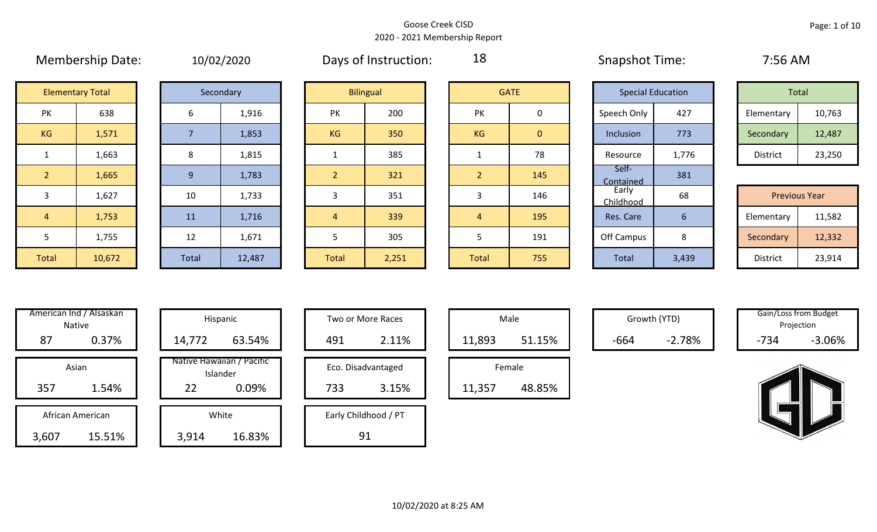|                | <b>IVICHINGIBILIP DULC.</b> |       | 10/02/2020 |                | DUYJ OF HIJLI UULIUII. | $ \sim$        |              | JUUPJUUL TUUL.           |     |
|----------------|-----------------------------|-------|------------|----------------|------------------------|----------------|--------------|--------------------------|-----|
|                | <b>Elementary Total</b>     |       | Secondary  |                | <b>Bilingual</b>       |                | <b>GATE</b>  | <b>Special Education</b> |     |
| PK             | 638                         | 6     | 1,916      | PK             | 200                    | PK             | 0            | Speech Only              | 42  |
| KG             | 1,571                       |       | 1,853      | <b>KG</b>      | 350                    | KG             | $\mathbf{0}$ | Inclusion                | 77  |
| 1              | 1,663                       | 8     | 1,815      |                | 385                    | $\mathbf{1}$   | 78           | Resource                 | 1,7 |
| 2 <sup>1</sup> | 1,665                       | 9     | 1,783      | $\overline{2}$ | 321                    | $\overline{2}$ | 145          | Self-<br>Contained       | 38  |
| $\mathbf{3}$   | 1,627                       | 10    | 1,733      | 3              | 351                    | 3              | 146          | Early<br>Childhood       | 68  |
| $\overline{4}$ | 1,753                       | 11    | 1,716      | 4              | 339                    | $\overline{4}$ | 195          | Res. Care                | 6   |
| 5              | 1,755                       | 12    | 1,671      | 5              | 305                    | 5              | 191          | Off Campus               | 8   |
| Total          | 10,672                      | Total | 12,487     | Total          | 2,251                  | Total          | 755          | Total                    | 3,4 |

|  | 10/02/2020 |
|--|------------|
|  |            |

Membership Date: 10/02/2020 Snapshot Time: 7:56 AM Days of Instruction:

18

Contained 381

|                      | <b>Elementary Total</b> |  | Secondary |           | <b>Bilingual</b> |           | <b>GATE</b> |             | <b>Special Education</b> | Total      |        |
|----------------------|-------------------------|--|-----------|-----------|------------------|-----------|-------------|-------------|--------------------------|------------|--------|
| ∕ו ר<br>$\mathbf{N}$ | 638                     |  | 1,916     | PK        | 200              | PK        |             | Speech Only | 427                      | Elementary | 10,763 |
| G                    | 1,571                   |  | 1,853     | <b>KG</b> | 350              | <b>KG</b> | 0           | Inclusion   | 773                      | Secondary  | 12,487 |
|                      | 1,663                   |  | 1,815     |           | 385              |           | 78          | Resource    | 1,776                    | District   | 23,250 |

|       |        |       |        |              |       |              |     | ____________       |       |                      |        |
|-------|--------|-------|--------|--------------|-------|--------------|-----|--------------------|-------|----------------------|--------|
| 3     | 1,627  | 10    | 1,733  |              | 351   |              | 146 | Early<br>Childhood | 68    | <b>Previous Year</b> |        |
| 4     | 1,753  | 11    | 1,716  |              | 339   |              | 195 | Res. Care          |       | Elementary           | 11,582 |
|       | 1,755  | 12    | 1,671  |              | 305   |              | 191 | Off Campus         | Ο     | Secondary            | 12,332 |
| Total | 10,672 | Total | 12,487 | <b>Total</b> | 2,251 | <b>Total</b> | 755 | Total              | 3,439 | District             | 23,914 |

| American Ind / Alsaskan<br><b>Native</b> |       | Hispani                    |
|------------------------------------------|-------|----------------------------|
| 0.37%                                    | 87    | 14,772                     |
| Asian                                    |       | Native Hawaiiai<br>Islande |
| 1.54%                                    | 357   | 22                         |
| African American                         |       | White                      |
| 15.51%                                   | 3,607 | 3,914                      |

| American Ind / Alsaskan<br>Native | Hispanic                              | Two or More Races    | Male             |        | Growth (YTD) |        | Gain/Loss from Budget<br>Projection |
|-----------------------------------|---------------------------------------|----------------------|------------------|--------|--------------|--------|-------------------------------------|
| 0.37%<br>87                       | 63.54%<br>14,772                      | 2.11%<br>491         | 51.15%<br>11,893 | $-664$ | $-2.78%$     | $-734$ | $-3.06%$                            |
| Asian                             | Native Hawaiian / Pacific<br>Islander | Eco. Disadvantaged   | Female           |        |              |        |                                     |
| 357<br>1.54%                      | 0.09%<br>22                           | 733<br>3.15%         | 48.85%<br>11,357 |        |              |        |                                     |
| African American                  | White                                 | Early Childhood / PT |                  |        |              |        |                                     |
| 15.51%<br>3,607                   | 16.83%<br>3,914                       | 91                   |                  |        |              |        |                                     |

| Hispanic                                | Two or More Races                  | Male                  |
|-----------------------------------------|------------------------------------|-----------------------|
| 63.54%                                  | 491<br>2.11%                       | 11,893                |
| lawaiian / Pacific<br>Islander<br>0.09% | Eco. Disadvantaged<br>3.15%<br>733 | Female<br>11,357<br>ı |
| White                                   | Early Childhood / PT               |                       |
| 16.83%                                  |                                    |                       |

|        | Male   |  |  |  |  |  |  |  |  |
|--------|--------|--|--|--|--|--|--|--|--|
| 11,893 | 51.15% |  |  |  |  |  |  |  |  |
| Female |        |  |  |  |  |  |  |  |  |
| 11,357 | 48.85% |  |  |  |  |  |  |  |  |

Growth (YTD) Gain/Loss from Budget Projection

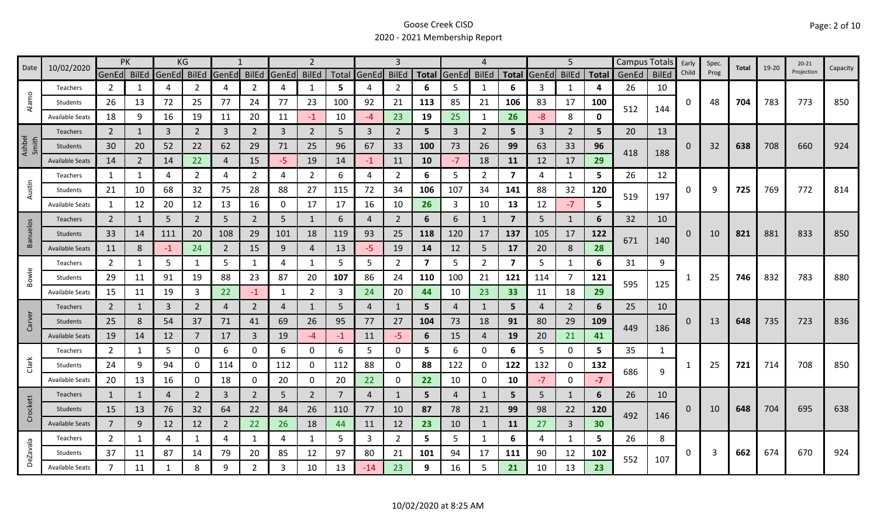|                 | 10/02/2020             | <b>PK</b>      |    |             | KG             |                |                |       | $\overline{2}$ |      |             |                |                         |             | 4              |                         |       | 5              |              |       | Campus Totals | Early    | Spec. | Total | 19-20 | $20 - 21$  |          |
|-----------------|------------------------|----------------|----|-------------|----------------|----------------|----------------|-------|----------------|------|-------------|----------------|-------------------------|-------------|----------------|-------------------------|-------|----------------|--------------|-------|---------------|----------|-------|-------|-------|------------|----------|
| Date            |                        | GenEd BilEd    |    | GenEd BilEd |                | GenEd          | <b>BilEd</b>   | GenEd | <b>BilEd</b>   |      | Total GenEd | <b>BilEd</b>   |                         | Total GenEd | <b>BilEd</b>   | <b>Total</b>            | GenEd | <b>BilEd</b>   | <b>Total</b> | GenEd | <b>BilEd</b>  | Child    | Prog  |       |       | Projection | Capacity |
|                 | Teachers               | $\overline{2}$ | 1  | 4           | 2              | 4              | $\overline{2}$ | 4     | $\mathbf{1}$   | 5    | 4           | $\overline{2}$ | 6                       | 5           | -1             | 6                       | 3     | 1              | 4            | 26    | 10            |          |       |       |       |            |          |
| Alamo           | Students               | 26             | 13 | 72          | 25             | 77             | 24             | 77    | 23             | 100  | 92          | 21             | 113                     | 85          | 21             | 106                     | 83    | 17             | 100          | 512   | 144           | 0        | 48    | 704   | 783   | 773        | 850      |
|                 | <b>Available Seats</b> | 18             | 9  | 16          | 19             | 11             | 20             | 11    | $-1$           | 10   | -4          | 23             | 19                      | 25          | -1             | 26                      | $-8$  | 8              | U            |       |               |          |       |       |       |            |          |
|                 | Teachers               | $\overline{2}$ |    | 3           | $\overline{2}$ | 3              | $\overline{2}$ | 3     | $\overline{2}$ | 5    | 3           | $\overline{2}$ | 5                       | 3           | 2              | 5                       | 3     | $\overline{2}$ | 5            | 20    | 13            |          |       |       |       |            |          |
| Ashbel<br>Smith | Students               | 30             | 20 | 52          | 22             | 62             | 29             | 71    | 25             | 96   | 67          | 33             | 100                     | 73          | 26             | 99                      | 63    | 33             | 96           | 418   | 188           | 0        | 32    | 638   | 708   | 660        | 924      |
|                 | <b>Available Seats</b> | 14             | 2  | 14          | 22             | $\overline{4}$ | 15             | -5    | 19             | 14   | $-1$        | 11             | 10                      | $-7$        | 18             | 11                      | 12    | 17             | 29           |       |               |          |       |       |       |            |          |
|                 | Teachers               | 1              | 1  | 4           | $\overline{2}$ | 4              | $\overline{2}$ | 4     | $\overline{2}$ | 6    | 4           | $\overline{2}$ | 6                       | 5           | $\overline{2}$ | $\overline{\mathbf{z}}$ | 4     | $\mathbf{1}$   | 5            | 26    | 12            |          |       |       |       |            |          |
| Austin          | Students               | 21             | 10 | 68          | 32             | 75             | 28             | 88    | 27             | 115  | 72          | 34             | 106                     | 107         | 34             | 141                     | 88    | 32             | 120          | 519   | 197           | 0        | 9     | 725   | 769   | 772        | 814      |
|                 | <b>Available Seats</b> | 1              | 12 | 20          | 12             | 13             | 16             | 0     | 17             | 17   | 16          | 10             | 26                      | 3           | 10             | 13                      | 12    | $-7$           | 5            |       |               |          |       |       |       |            |          |
|                 | Teachers               | $\overline{2}$ | 1  | 5           | $\overline{2}$ | 5              | $\overline{2}$ | 5     | $\mathbf{1}$   | 6    | 4           | $\overline{2}$ | 6                       | 6           | 1              | $\overline{7}$          | 5     | 1              | 6            | 32    | 10            |          |       |       |       |            |          |
| <b>Banuelos</b> | Students               | 33             | 14 | 111         | 20             | 108            | 29             | 101   | 18             | 119  | 93          | 25             | 118                     | 120         | 17             | 137                     | 105   | 17             | 122          |       |               | $\Omega$ | 10    | 821   | 881   | 833        | 850      |
|                 | <b>Available Seats</b> | 11             | 8  | $-1$        | 24             | $\overline{2}$ | 15             | 9     | $\overline{4}$ | 13   | $-5$        | 19             | 14                      | 12          | 5              | 17                      | 20    | 8              | 28           | 671   | 140           |          |       |       |       |            |          |
|                 | Teachers               | $\overline{2}$ | 1  | 5           | 1              | 5              | 1              | 4     | 1              | 5    | 5           | $\overline{2}$ | $\overline{\mathbf{z}}$ | 5           | $\overline{2}$ | $\overline{\mathbf{z}}$ | 5     | 1              | 6            | 31    | 9             |          |       |       |       |            |          |
| Bowie           | Students               | 29             | 11 | 91          | 19             | 88             | 23             | 87    | 20             | 107  | 86          | 24             | 110                     | 100         | 21             | 121                     | 114   | 7              | 121          | 595   |               |          | 25    | 746   | 832   | 783        | 880      |
|                 | <b>Available Seats</b> | 15             | 11 | 19          | 3              | 22             | $-1$           | 1     | $\overline{2}$ | 3    | 24          | 20             | 44                      | 10          | 23             | 33                      | 11    | 18             | 29           |       | 125           |          |       |       |       |            |          |
|                 | Teachers               | $\overline{2}$ | 1  | 3           | $\overline{2}$ | $\overline{4}$ | $\overline{2}$ | 4     | 1              | 5    | 4           |                | 5                       | 4           | $\mathbf{1}$   | 5                       | 4     | $\overline{2}$ | 6            | 25    | 10            |          |       |       |       |            |          |
| Carver          | Students               | 25             | 8  | 54          | 37             | 71             | 41             | 69    | 26             | 95   | 77          | 27             | 104                     | 73          | 18             | 91                      | 80    | 29             | 109          | 449   | 186           | O        | 13    | 648   | 735   | 723        | 836      |
|                 | <b>Available Seats</b> | 19             | 14 | 12          | $\overline{7}$ | 17             | $\mathbf{3}$   | 19    | $-4$           | $-1$ | 11          | $-5$           | 6                       | 15          | 4              | 19                      | 20    | 21             | 41           |       |               |          |       |       |       |            |          |
|                 | Teachers               | $\overline{2}$ | 1  | 5           | 0              | 6              | 0              | 6     | 0              | 6    | 5           | 0              | 5                       | 6           | 0              | 6                       | 5     | $\mathbf 0$    | 5            | 35    | 1             |          |       |       |       |            |          |
| Clark           | Students               | 24             | 9  | 94          | 0              | 114            | 0              | 112   | 0              | 112  | 88          | 0              | 88                      | 122         | 0              | 122                     | 132   | $\mathbf 0$    | 132          | 686   |               |          | 25    | 721   | 714   | 708        | 850      |
|                 | <b>Available Seats</b> | 20             | 13 | 16          | 0              | 18             | 0              | 20    | 0              | 20   | 22          | 0              | 22                      | 10          | 0              | 10                      | $-7$  | $\mathbf 0$    | $-7$         |       | 9             |          |       |       |       |            |          |
|                 | Teachers               | 1              | 1  | 4           | $\overline{2}$ | 3              | $\overline{2}$ | 5     | $\overline{2}$ | 7    | 4           |                | 5                       | 4           | 1              | 5                       | 5     | 1              | 6            | 26    | 10            |          |       |       |       |            |          |
| Crockett        | Students               | 15             | 13 | 76          | 32             | 64             | 22             | 84    | 26             | 110  | 77          | 10             | 87                      | 78          | 21             | 99                      | 98    | 22             | 120          | 492   |               | 0        | 10    | 648   | 704   | 695        | 638      |
|                 | <b>Available Seats</b> | $\overline{7}$ | 9  | 12          | 12             | 2              | 22             | 26    | 18             | 44   | 11          | 12             | 23                      | 10          | 1              | 11                      | 27    | $\overline{3}$ | 30           |       | 146           |          |       |       |       |            |          |
|                 | Teachers               | $\overline{2}$ | 1  | 4           | 1              | 4              | $\mathbf{1}$   | 4     | 1              | 5    | 3           | $\overline{2}$ | 5                       | 5           | 1              | 6                       | 4     | 1              | 5.           | 26    | 8             |          |       |       |       |            |          |
| <b>DeZavala</b> | Students               | 37             | 11 | 87          | 14             | 79             | 20             | 85    | 12             | 97   | 80          | 21             | 101                     | 94          | 17             | 111                     | 90    | 12             | 102          | 552   | 107           | 0        | 3     | 662   | 674   | 670        | 924      |
|                 | <b>Available Seats</b> | $\overline{7}$ | 11 | 1           | 8              | 9              | $\overline{2}$ | 3     | 10             | 13   | $-14$       | 23             | 9                       | 16          | 5              | 21                      | 10    | 13             | 23           |       |               |          |       |       |       |            |          |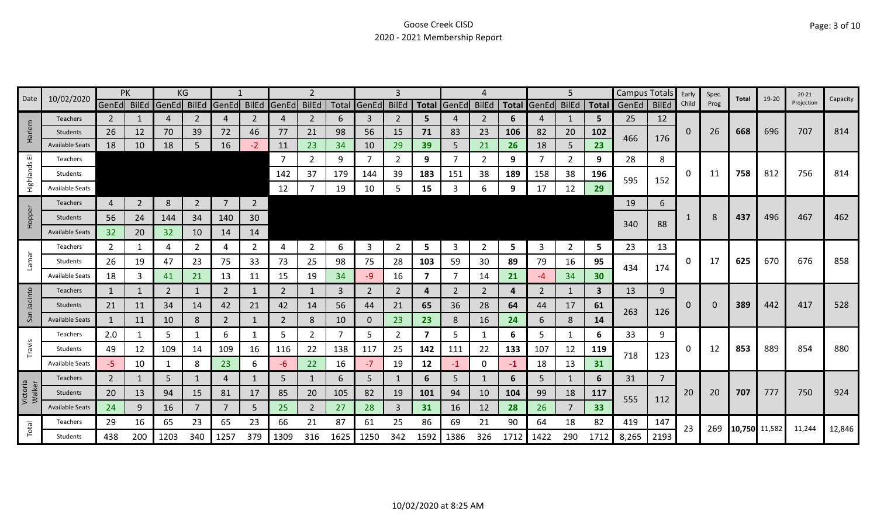| Date               | 10/02/2020             | PK             |                |       | KG             |                |                |             |                |      |              | 3              |                         |             |              |      |                   | 5              |            | Campus Totals |                | Early | Spec. | Total         | 19-20 | $20 - 21$  | Capacity |
|--------------------|------------------------|----------------|----------------|-------|----------------|----------------|----------------|-------------|----------------|------|--------------|----------------|-------------------------|-------------|--------------|------|-------------------|----------------|------------|---------------|----------------|-------|-------|---------------|-------|------------|----------|
|                    |                        | GenEd BilEd    |                | GenEd | BilEd          | GenEd          | <b>BilEd</b>   | GenEd BilEd |                |      | Total GenEd  | <b>BilEd</b>   |                         | Total GenEd | <b>BilEd</b> |      | Total GenEd BilEd |                |            | Total GenEd   | <b>BilEd</b>   | Child | Prog  |               |       | Projection |          |
|                    | <b>Teachers</b>        | $\mathbf{2}$   |                | 4     | 2              | 4              | 2              | 4           | $\overline{2}$ | 6    | 3            | 2              | 5.                      |             | 2            | 6    | 4                 |                | 5          | 25            | 12             |       |       |               |       |            |          |
| Harlem             | Students               | 26             | 12             | 70    | 39             | 72             | 46             | 77          | 21             | 98   | 56           | 15             | 71                      | 83          | 23           | 106  | 82                | 20             | 102        | 466           | 176            | 0     | 26    | 668           | 696   | 707        | 814      |
|                    | <b>Available Seats</b> | 18             | 10             | 18    | 5              | 16             | $-2$           | 11          | 23             | 34   | 10           | 29             | 39                      | 5           | 21           | 26   | 18                | 5              | 23         |               |                |       |       |               |       |            |          |
| ш                  | Teachers               |                |                |       |                |                |                | -7          | $\mathbf{2}$   | 9    | 7            | 2              | 9                       |             | 2            | 9    | -7                | $\overline{2}$ | 9          | 28            | 8              |       |       |               |       |            |          |
| Highlands          | Students               |                |                |       |                |                |                | 142         | 37             | 179  | 144          | 39             | 183                     | 151         | 38           | 189  | 158               | 38             | 196        | 595           | 152            | 0     | 11    | 758           | 812   | 756        | 814      |
|                    | <b>Available Seats</b> |                |                |       |                |                |                | 12          |                | 19   | 10           | 5              | 15                      |             | 6            | 9    | 17                | 12             | 29         |               |                |       |       |               |       |            |          |
|                    | Teachers               | 4              | $\overline{2}$ | 8     | $\overline{2}$ | $\overline{7}$ | $\overline{2}$ |             |                |      |              |                |                         |             |              |      |                   |                |            | 19            | 6              |       |       |               |       |            |          |
| Hopper             | Students               | 56             | 24             | 144   | 34             | 140            | 30             |             |                |      |              |                |                         |             |              |      |                   |                |            |               |                |       | 8     | 437           | 496   | 467        | 462      |
|                    | <b>Available Seats</b> | 32             | 20             | 32    | 10             | 14             | 14             |             |                |      |              |                |                         |             |              |      |                   |                |            | 340           | 88             |       |       |               |       |            |          |
|                    | Teachers               | 2              |                | 4     | 2              | 4              | $\overline{2}$ | 4           | $\overline{2}$ | 6    | 3            | 2              | 5                       | 3           | 2            | 5    | 3                 | $\overline{2}$ | 5          | 23            | 13             |       |       |               |       |            |          |
| <b>Lamar</b>       | Students               | 26             | 19             | 47    | 23             | 75             | 33             | 73          | 25             | 98   | 75           | 28             | 103                     | 59          | 30           | 89   | 79                | 16             | 95         |               |                | 0     | 17    | 625           | 670   | 676        | 858      |
|                    | <b>Available Seats</b> | 18             | 3              | 41    | 21             | 13             | 11             | 15          | 19             | 34   | $-9$         | 16             | 7                       |             | 14           | 21   | -4                | 34             | 30         | 434           | 174            |       |       |               |       |            |          |
|                    | <b>Teachers</b>        | 1              | 1              | 2     | 1              | 2              | 1              | 2           | $\mathbf{1}$   | 3    | 2            | $\overline{2}$ | 4                       | 2           | 2            | 4    | 2                 | 1              | 3          | 13            | 9              |       |       |               |       |            |          |
| Jacinto            | Students               | 21             | 11             | 34    | 14             | 42             | 21             | 42          | 14             | 56   | 44           | 21             | 65                      | 36          | 28           | 64   | 44                | 17             | 61         |               |                | 0     | 0     | 389           | 442   | 417        | 528      |
| San                | <b>Available Seats</b> | 1              | 11             | 10    | 8              | $\overline{2}$ | 1              | 2           | 8              | 10   | $\mathbf{0}$ | 23             | 23                      | 8           | 16           | 24   | 6                 | 8              | 14         | 263           | 126            |       |       |               |       |            |          |
|                    | Teachers               | 2.0            | 1              | 5     |                | 6              | 1              | 5           | $\overline{2}$ | 7    | 5            | 2              | $\overline{\mathbf{z}}$ | 5           |              | 6    | 5                 | 1              | 6          | 33            | 9              |       |       |               |       |            |          |
| Travis             | Students               | 49             | 12             | 109   | 14             | 109            | 16             | 116         | 22             | 138  | 117          | 25             | 142                     | 111         | 22           | 133  | 107               | 12             | 119        |               |                | 0     | 12    | 853           | 889   | 854        | 880      |
|                    | <b>Available Seats</b> | -5             | 10             |       | 8              | 23             | 6              | -6          | 22             | 16   | $-7$         | 19             | 12                      | $-1$        | 0            | -1   | 18                | 13             | 31         | 718           | 123            |       |       |               |       |            |          |
|                    | Teachers               | $\overline{2}$ | 1              | 5     |                | 4              |                | 5           | $\mathbf{1}$   | 6    | 5            |                | 6                       | 5           | 1            | 6    | 5                 | 1              | 6          | 31            | $\overline{7}$ |       |       |               |       |            |          |
| Victoria<br>Walker | Students               | 20             | 13             | 94    | 15             | 81             | 17             | 85          | 20             | 105  | 82           | 19             | 101                     | 94          | 10           | 104  | 99                | 18             | <b>117</b> |               |                | 20    | 20    | 707           | 777   | 750        | 924      |
|                    | <b>Available Seats</b> | 24             | 9              | 16    |                |                | 5              | 25          | $\overline{2}$ | 27   | 28           | 3              | 31                      | 16          | 12           | 28   | 26                | 7              | 33         | 555           | 112            |       |       |               |       |            |          |
|                    | Teachers               | 29             | 16             | 65    | 23             | 65             | 23             | 66          | 21             | 87   | 61           | 25             | 86                      | 69          | 21           | 90   | 64                | 18             | 82         | 419           | 147            |       |       |               |       |            |          |
| Total              | Students               | 438            | 200            | 1203  | 340            | 1257           | 379            | 1309        | 316            | 1625 | 1250         | 342            | 1592                    | 1386        | 326          | 1712 | 1422              | 290            | 1712       | 8,265         | 2193           | 23    | 269   | 10,750 11,582 |       | 11,244     | 12,846   |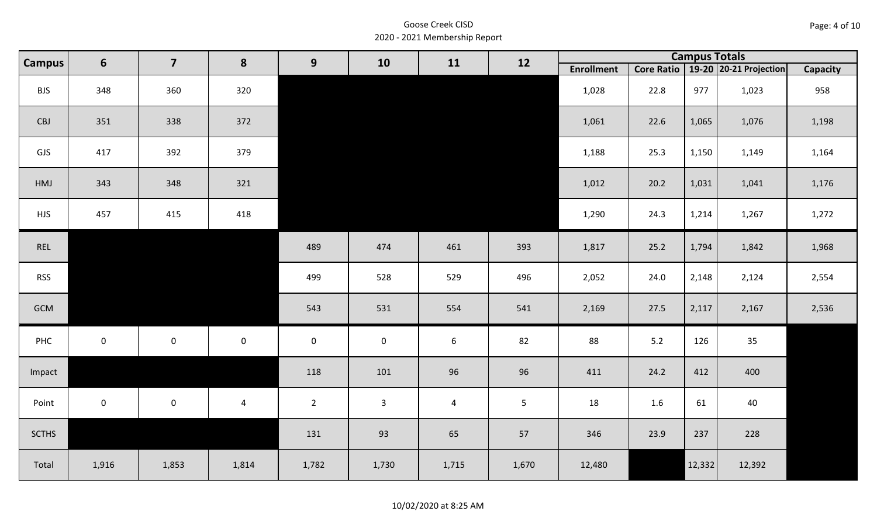| Page: 4 of 10 |  |  |  |
|---------------|--|--|--|
|---------------|--|--|--|

| <b>Campus</b> | $6\phantom{1}$      | $\overline{\mathbf{z}}$ | 8              | 9              | 10           | 11             | 12    |                   |            | <b>Campus Totals</b><br>19-20 20-21 Projection |        |          |
|---------------|---------------------|-------------------------|----------------|----------------|--------------|----------------|-------|-------------------|------------|------------------------------------------------|--------|----------|
|               |                     |                         |                |                |              |                |       | <b>Enrollment</b> | Core Ratio |                                                |        | Capacity |
| <b>BJS</b>    | 348                 | 360                     | 320            |                |              |                |       | 1,028             | 22.8       | 977                                            | 1,023  | 958      |
| CBJ           | 351                 | 338                     | 372            |                |              |                |       | 1,061             | 22.6       | 1,065                                          | 1,076  | 1,198    |
| GJS           | 417                 | 392                     | 379            |                |              |                |       | 1,188             | 25.3       | 1,150                                          | 1,149  | 1,164    |
| HMJ           | 343                 | 348                     | 321            |                |              |                |       | 1,012             | 20.2       | 1,031                                          | 1,041  | 1,176    |
| <b>HJS</b>    | 457                 | 415                     | 418            |                |              |                |       | 1,290             | 24.3       | 1,214                                          | 1,267  | 1,272    |
| REL           |                     |                         |                | 489            | 474          | 461            | 393   | 1,817             | 25.2       | 1,794                                          | 1,842  | 1,968    |
| <b>RSS</b>    |                     |                         |                | 499            | 528          | 529            | 496   | 2,052             | 24.0       | 2,148                                          | 2,124  | 2,554    |
| GCM           |                     |                         |                | 543            | 531          | 554            | 541   | 2,169             | 27.5       | 2,117                                          | 2,167  | 2,536    |
| PHC           | $\mathsf{O}\xspace$ | $\mathsf{O}\xspace$     | $\mathbf 0$    | $\mathbf 0$    | $\pmb{0}$    | $6\,$          | 82    | 88                | 5.2        | 126                                            | 35     |          |
| Impact        |                     |                         |                | 118            | 101          | 96             | 96    | 411               | 24.2       | 412                                            | 400    |          |
| Point         | $\mathsf{O}\xspace$ | $\mathsf{O}\xspace$     | $\overline{4}$ | $\overline{2}$ | $\mathbf{3}$ | $\overline{4}$ | 5     | 18                | 1.6        | 61                                             | 40     |          |
| <b>SCTHS</b>  |                     |                         |                | 131            | 93           | 65             | 57    | 346               | 23.9       | 237                                            | 228    |          |
| Total         | 1,916               | 1,853                   | 1,814          | 1,782          | 1,730        | 1,715          | 1,670 | 12,480            |            | 12,332                                         | 12,392 |          |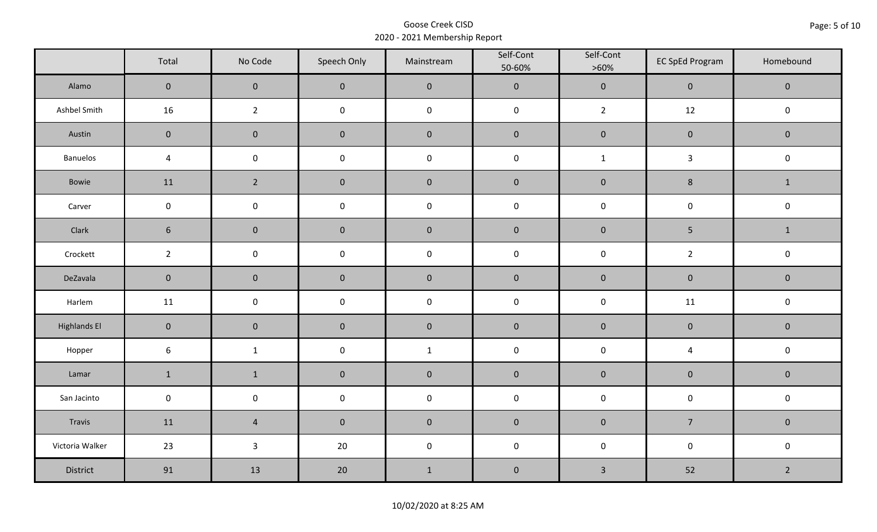|                     | Total               | No Code             | Speech Only         | Mainstream  | Self-Cont<br>50-60% | Self-Cont<br>$>60\%$ | <b>EC SpEd Program</b>  | Homebound      |  |
|---------------------|---------------------|---------------------|---------------------|-------------|---------------------|----------------------|-------------------------|----------------|--|
| Alamo               | $\overline{0}$      | $\mathbf{0}$        | $\mathbf{0}$        | $\pmb{0}$   | $\pmb{0}$           | $\pmb{0}$            | $\pmb{0}$               | $\mathbf 0$    |  |
| Ashbel Smith        | 16                  | $\overline{2}$      | $\mathsf{O}\xspace$ | $\pmb{0}$   | $\pmb{0}$           | $\overline{2}$       | 12                      | $\mathbf 0$    |  |
| Austin              | $\mathbf 0$         | $\mathbf 0$         | $\mathbf 0$         | $\pmb{0}$   | $\pmb{0}$           | $\pmb{0}$            | $\pmb{0}$               | $\mathbf 0$    |  |
| Banuelos            | $\sqrt{4}$          | $\mathsf{O}\xspace$ | $\pmb{0}$           | $\pmb{0}$   | $\pmb{0}$           | $\mathbf 1$          | $\mathbf{3}$            | $\pmb{0}$      |  |
| Bowie               | 11                  | $\overline{2}$      | $\mathbf{0}$        | $\mathbf 0$ | $\mathbf 0$         | $\mathbf 0$          | 8                       | $\mathbf{1}$   |  |
| Carver              | $\mathbf 0$         | $\pmb{0}$           | $\pmb{0}$           | $\pmb{0}$   | $\pmb{0}$           | $\pmb{0}$            | $\pmb{0}$               | $\pmb{0}$      |  |
| Clark               | $6\phantom{1}$      | $\mathbf 0$         | $\mathbf 0$         | $\pmb{0}$   | $\pmb{0}$           | $\pmb{0}$            | $\overline{5}$          | $\mathbf{1}$   |  |
| Crockett            | $\overline{2}$      | $\mathsf 0$         | $\pmb{0}$           | $\pmb{0}$   | $\mathsf 0$         | $\pmb{0}$            | $\overline{2}$          | $\pmb{0}$      |  |
| DeZavala            | $\mathbf 0$         | $\mathbf 0$         | $\mathbf 0$         | $\pmb{0}$   | $\pmb{0}$           | $\pmb{0}$            | $\pmb{0}$               | $\pmb{0}$      |  |
| Harlem              | 11                  | $\mathsf{O}\xspace$ | $\pmb{0}$           | $\pmb{0}$   | $\pmb{0}$           | $\pmb{0}$            | 11                      | $\pmb{0}$      |  |
| <b>Highlands El</b> | $\mathbf{0}$        | $\mathbf 0$         | $\mathbf 0$         | $\pmb{0}$   | $\pmb{0}$           | $\pmb{0}$            | $\pmb{0}$               | $\mathbf 0$    |  |
| Hopper              | $\boldsymbol{6}$    | $\mathbf{1}$        | $\mathsf{O}\xspace$ | $\mathbf 1$ | $\pmb{0}$           | $\pmb{0}$            | $\overline{\mathbf{4}}$ | $\pmb{0}$      |  |
| Lamar               | $\mathbf 1$         | $\mathbf 1$         | $\mathbf 0$         | $\pmb{0}$   | $\pmb{0}$           | $\pmb{0}$            | $\pmb{0}$               | $\pmb{0}$      |  |
| San Jacinto         | $\mathsf{O}\xspace$ | $\pmb{0}$           | $\pmb{0}$           | $\pmb{0}$   | $\pmb{0}$           | $\pmb{0}$            | $\pmb{0}$               | $\pmb{0}$      |  |
| Travis              | 11                  | $\overline{4}$      | $\mathbf 0$         | $\pmb{0}$   | $\pmb{0}$           | $\pmb{0}$            | $\overline{7}$          | $\mathbf 0$    |  |
| Victoria Walker     | 23                  | $\mathbf{3}$        | 20                  | $\pmb{0}$   | $\pmb{0}$           | $\pmb{0}$            | $\pmb{0}$               | $\pmb{0}$      |  |
| District            | 91                  | 13                  | 20                  | $\mathbf 1$ | $\pmb{0}$           | $\mathsf{3}$         | 52                      | $\overline{2}$ |  |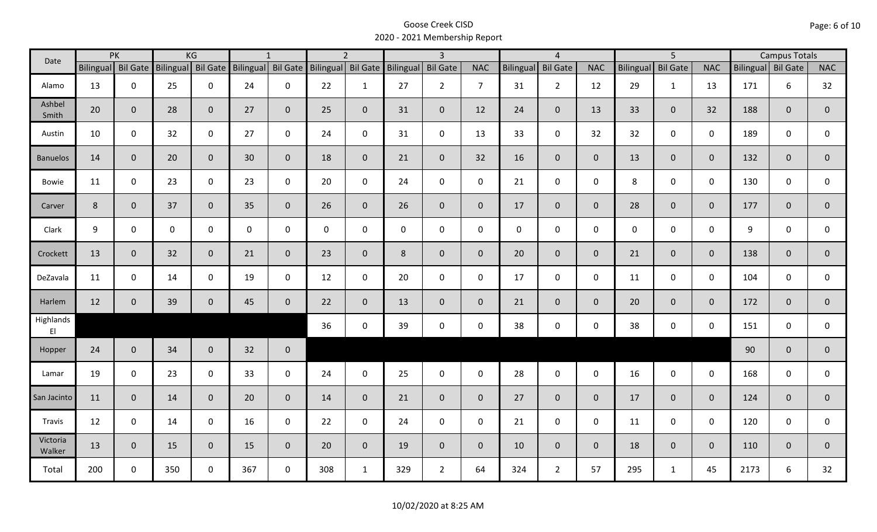|                                     |                | PK                 |     | KG                 |                    | $\mathbf{1}$   |                    | $\overline{2}$ |           | $\overline{3}$  |                |              | $\overline{4}$  |                |                  | $\overline{5}$  |              |                    | <b>Campus Totals</b> |                |
|-------------------------------------|----------------|--------------------|-----|--------------------|--------------------|----------------|--------------------|----------------|-----------|-----------------|----------------|--------------|-----------------|----------------|------------------|-----------------|--------------|--------------------|----------------------|----------------|
| Date                                |                | Bilingual Bil Gate |     | Bilingual Bil Gate | Bilingual Bil Gate |                | Bilingual Bil Gate |                | Bilingual | <b>Bil Gate</b> | <b>NAC</b>     | Bilingual    | <b>Bil Gate</b> | <b>NAC</b>     | <b>Bilingual</b> | <b>Bil Gate</b> | <b>NAC</b>   | Bilingual Bil Gate |                      | <b>NAC</b>     |
| Alamo                               | 13             | 0                  | 25  | $\mathbf 0$        | 24                 | $\mathbf 0$    | 22                 | $\mathbf{1}$   | 27        | $2^{\circ}$     | $\overline{7}$ | 31           | $\overline{2}$  | 12             | 29               | $\mathbf{1}$    | 13           | 171                | 6                    | 32             |
| Ashbel<br>Smith                     | 20             | $\mathbf{0}$       | 28  | $\mathbf{0}$       | 27                 | $\mathbf{0}$   | 25                 | $\overline{0}$ | 31        | $\overline{0}$  | 12             | 24           | $\mathbf 0$     | 13             | 33               | 0               | 32           | 188                | $\overline{0}$       | $\mathbf{0}$   |
| Austin                              | 10             | $\mathbf 0$        | 32  | $\mathbf 0$        | 27                 | $\mathbf 0$    | 24                 | $\mathbf 0$    | 31        | $\mathsf{O}$    | 13             | 33           | $\mathbf 0$     | 32             | 32               | $\mathbf 0$     | $\mathbf 0$  | 189                | 0                    | 0              |
| <b>Banuelos</b>                     | 14             | $\mathbf{0}$       | 20  | $\overline{0}$     | 30                 | $\mathbf{0}$   | 18                 | $\overline{0}$ | 21        | $\overline{0}$  | 32             | 16           | $\mathbf{0}$    | $\overline{0}$ | 13               | $\overline{0}$  | $\mathbf{0}$ | 132                | $\mathbf{0}$         | $\mathbf{0}$   |
| Bowie                               | 11             | $\mathbf 0$        | 23  | $\mathsf{O}$       | 23                 | $\mathbf 0$    | 20                 | $\mathbf 0$    | 24        | $\mathbf 0$     | $\mathbf 0$    | 21           | $\mathbf 0$     | $\mathbf 0$    | 8                | 0               | $\mathbf 0$  | 130                | 0                    | 0              |
| Carver                              | $8\phantom{1}$ | $\mathbf{0}$       | 37  | $\mathbf{0}$       | 35                 | $\overline{0}$ | 26                 | $\overline{0}$ | 26        | $\overline{0}$  | $\mathbf 0$    | 17           | $\mathbf{0}$    | $\mathbf{0}$   | 28               | $\overline{0}$  | $\mathbf{0}$ | 177                | $\mathbf{0}$         | $\mathbf 0$    |
| Clark                               | 9              | $\mathbf 0$        | 0   | 0                  | 0                  | $\mathbf 0$    | $\mathbf 0$        | $\mathbf 0$    | $\pmb{0}$ | $\mathbf 0$     | $\mathbf 0$    | $\mathbf{0}$ | $\mathbf 0$     | $\mathbf 0$    | $\mathbf 0$      | 0               | $\mathbf 0$  | 9                  | 0                    | $\mathbf 0$    |
| Crockett                            | 13             | $\mathbf{0}$       | 32  | $\overline{0}$     | 21                 | $\mathbf{0}$   | 23                 | $\overline{0}$ | 8         | $\overline{0}$  | $\mathbf{0}$   | 20           | $\mathbf{0}$    | $\overline{0}$ | 21               | $\mathbf{0}$    | $\mathbf{0}$ | 138                | $\overline{0}$       | $\overline{0}$ |
| DeZavala                            | 11             | $\mathbf 0$        | 14  | $\mathbf 0$        | 19                 | $\mathbf 0$    | 12                 | $\mathbf 0$    | 20        | $\mathbf 0$     | $\mathbf 0$    | 17           | $\mathbf 0$     | $\mathsf{O}$   | 11               | 0               | $\mathbf 0$  | 104                | 0                    | 0              |
| Harlem                              | 12             | $\mathbf{0}$       | 39  | $\mathbf{0}$       | 45                 | $\mathbf{0}$   | 22                 | $\overline{0}$ | 13        | $\overline{0}$  | $\overline{0}$ | 21           | $\overline{0}$  | $\overline{0}$ | 20               | $\mathbf{0}$    | $\mathbf{0}$ | 172                | $\mathbf{0}$         | $\overline{0}$ |
| Highlands<br>$\mathsf{E}\mathsf{I}$ |                |                    |     |                    |                    |                | 36                 | $\mathbf 0$    | 39        | $\mathsf{O}$    | $\mathbf 0$    | 38           | $\mathbf 0$     | $\mathsf{O}$   | 38               | 0               | $\mathbf 0$  | 151                | $\mathbf 0$          | 0              |
| Hopper                              | 24             | $\mathbf{0}$       | 34  | $\overline{0}$     | 32                 | $\mathbf 0$    |                    |                |           |                 |                |              |                 |                |                  |                 |              | 90                 | $\mathbf{0}$         | $\mathbf{0}$   |
| Lamar                               | 19             | $\mathbf 0$        | 23  | $\mathbf 0$        | 33                 | $\mathbf 0$    | 24                 | $\mathbf 0$    | 25        | $\mathsf{O}$    | $\mathbf 0$    | 28           | $\mathbf 0$     | $\mathsf{O}$   | 16               | $\mathbf 0$     | $\mathbf 0$  | 168                | 0                    | 0              |
| San Jacinto                         | 11             | $\mathbf{0}$       | 14  | $\overline{0}$     | 20                 | $\mathbf{0}$   | 14                 | $\overline{0}$ | 21        | $\overline{0}$  | $\overline{0}$ | 27           | $\overline{0}$  | $\overline{0}$ | 17               | $\overline{0}$  | $\mathbf{0}$ | 124                | $\mathbf{0}$         | $\mathbf 0$    |
| Travis                              | 12             | $\mathbf 0$        | 14  | $\mathbf 0$        | 16                 | $\mathbf 0$    | 22                 | $\mathbf 0$    | 24        | $\mathbf 0$     | $\mathbf 0$    | 21           | $\mathbf 0$     | $\mathbf 0$    | 11               | $\mathbf 0$     | $\mathbf 0$  | 120                | $\mathbf 0$          | 0              |
| Victoria<br>Walker                  | 13             | $\mathbf 0$        | 15  | $\overline{0}$     | 15                 | $\overline{0}$ | 20                 | $\overline{0}$ | 19        | $\overline{0}$  | $\mathbf 0$    | 10           | $\mathbf{0}$    | $\overline{0}$ | 18               | 0               | $\mathbf{0}$ | 110                | $\mathbf{0}$         | $\mathbf 0$    |
| Total                               | 200            | $\mathbf 0$        | 350 | $\mathbf 0$        | 367                | $\mathbf 0$    | 308                | $\mathbf{1}$   | 329       | $2^{\circ}$     | 64             | 324          | $\overline{2}$  | 57             | 295              | $\mathbf{1}$    | 45           | 2173               | 6                    | 32             |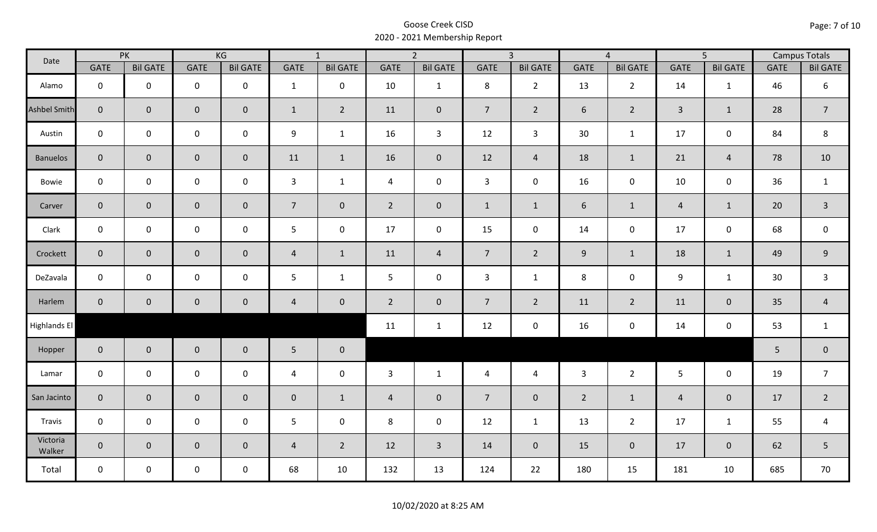| Date                |                | PK                  |                     | KG              |                | $\overline{1}$  |                | $\overline{2}$  |                | $\overline{3}$  |                | $\overline{4}$  |                | $\overline{5}$  |             | <b>Campus Totals</b> |
|---------------------|----------------|---------------------|---------------------|-----------------|----------------|-----------------|----------------|-----------------|----------------|-----------------|----------------|-----------------|----------------|-----------------|-------------|----------------------|
|                     | GATE           | <b>Bil GATE</b>     | <b>GATE</b>         | <b>Bil GATE</b> | GATE           | <b>Bil GATE</b> | <b>GATE</b>    | <b>Bil GATE</b> | <b>GATE</b>    | <b>Bil GATE</b> | <b>GATE</b>    | <b>Bil GATE</b> | <b>GATE</b>    | <b>Bil GATE</b> | <b>GATE</b> | <b>Bil GATE</b>      |
| Alamo               | $\mathbf 0$    | $\mathbf 0$         | $\mathbf 0$         | $\mathbf 0$     | $\mathbf{1}$   | $\mathbf 0$     | 10             | $\mathbf{1}$    | 8              | $2^{\circ}$     | 13             | $\overline{2}$  | 14             | 1               | 46          | 6                    |
| <b>Ashbel Smith</b> | $\mathbf{0}$   | $\mathbf 0$         | $\mathbf 0$         | $\mathbf{0}$    | $\mathbf{1}$   | $\overline{2}$  | 11             | $\mathbf{0}$    | $\overline{7}$ | $\overline{2}$  | 6              | $\overline{2}$  | $\overline{3}$ | $\mathbf{1}$    | 28          | $\overline{7}$       |
| Austin              | $\mathbf 0$    | $\mathbf 0$         | $\mathbf 0$         | $\mathbf 0$     | 9              | $\mathbf{1}$    | 16             | $\overline{3}$  | 12             | $\mathbf{3}$    | 30             | $\mathbf{1}$    | 17             | $\mathbf 0$     | 84          | 8                    |
| <b>Banuelos</b>     | $\overline{0}$ | $\mathbf 0$         | $\mathbf 0$         | $\overline{0}$  | 11             | $\mathbf{1}$    | 16             | $\mathbf{0}$    | 12             | $\overline{4}$  | 18             | $\mathbf{1}$    | 21             | $\overline{4}$  | 78          | 10                   |
| Bowie               | $\mathbf 0$    | $\mathbf 0$         | $\mathsf{O}\xspace$ | $\mathbf 0$     | $\mathbf{3}$   | $\mathbf{1}$    | $\overline{4}$ | $\mathbf 0$     | $\mathbf{3}$   | $\mathbf 0$     | 16             | $\mathbf 0$     | 10             | $\mathbf 0$     | 36          | $\mathbf{1}$         |
| Carver              | $\overline{0}$ | $\mathbf{0}$        | $\mathbf 0$         | $\overline{0}$  | 7 <sup>1</sup> | $\overline{0}$  | $2^{\circ}$    | $\mathbf{0}$    | $\mathbf{1}$   | $\mathbf{1}$    | 6              | $\mathbf{1}$    | $\overline{4}$ | $\mathbf{1}$    | 20          | $\overline{3}$       |
| Clark               | $\mathbf 0$    | $\mathbf 0$         | $\mathbf 0$         | $\mathbf 0$     | 5              | $\mathbf 0$     | 17             | $\mathbf 0$     | 15             | $\mathbf 0$     | 14             | $\mathbf 0$     | 17             | $\mathbf 0$     | 68          | $\mathbf 0$          |
| Crockett            | $\overline{0}$ | $\mathbf 0$         | $\mathsf{O}\xspace$ | $\overline{0}$  | $\overline{4}$ | $\mathbf{1}$    | 11             | $\overline{4}$  | 7 <sup>7</sup> | $2^{\circ}$     | $9\,$          | $\mathbf{1}$    | 18             | $\mathbf{1}$    | 49          | $\boldsymbol{9}$     |
| DeZavala            | $\mathbf 0$    | $\mathbf 0$         | $\mathsf{O}\xspace$ | $\mathbf 0$     | 5              | $\mathbf{1}$    | 5              | $\mathbf 0$     | 3              | $\mathbf{1}$    | 8              | $\mathbf 0$     | 9              | $\mathbf{1}$    | 30          | $\mathsf{3}$         |
| Harlem              | $\overline{0}$ | $\mathsf{O}\xspace$ | $\pmb{0}$           | $\mathbf 0$     | $\overline{4}$ | $\mathbf 0$     | $2^{\circ}$    | $\mathbf 0$     | $\overline{7}$ | $\overline{2}$  | 11             | $2^{\circ}$     | 11             | $\pmb{0}$       | 35          | $\overline{4}$       |
| Highlands El        |                |                     |                     |                 |                |                 | 11             | $\mathbf{1}$    | 12             | $\mathbf 0$     | 16             | 0               | 14             | $\mathbf 0$     | 53          | $\mathbf{1}$         |
| Hopper              | $\overline{0}$ | $\overline{0}$      | $\mathbf 0$         | $\overline{0}$  | $5\phantom{.}$ | $\mathbf 0$     |                |                 |                |                 |                |                 |                |                 | 5           | $\pmb{0}$            |
| Lamar               | $\mathbf 0$    | $\mathbf 0$         | $\mathsf 0$         | $\mathbf 0$     | $\overline{4}$ | $\mathbf 0$     | 3              | $\mathbf{1}$    | $\overline{4}$ | $\overline{4}$  | $\overline{3}$ | $2^{\circ}$     | $5\phantom{.}$ | $\mathbf 0$     | 19          | $\overline{7}$       |
| San Jacinto         | $\mathbf{0}$   | $\mathbf{0}$        | $\mathbf 0$         | $\mathbf 0$     | $\pmb{0}$      | $\mathbf{1}$    | $\overline{4}$ | $\mathbf 0$     | $\overline{7}$ | $\mathbf 0$     | $\overline{2}$ | $\mathbf{1}$    | $\overline{4}$ | $\mathbf 0$     | 17          | $\overline{2}$       |
| Travis              | $\mathbf 0$    | $\mathbf 0$         | $\mathsf 0$         | $\mathbf 0$     | 5              | $\mathbf 0$     | 8              | $\mathbf 0$     | 12             | $\mathbf{1}$    | 13             | $\overline{2}$  | 17             | $\mathbf{1}$    | 55          | $\overline{a}$       |
| Victoria<br>Walker  | $\overline{0}$ | $\overline{0}$      | $\mathbf 0$         | $\overline{0}$  | $\overline{4}$ | $\overline{2}$  | 12             | $\overline{3}$  | 14             | $\overline{0}$  | 15             | $\overline{0}$  | 17             | $\overline{0}$  | 62          | 5                    |
| Total               | $\mathbf 0$    | $\mathbf 0$         | $\mathsf{O}$        | $\mathbf 0$     | 68             | 10              | 132            | 13              | 124            | 22              | 180            | 15              | 181            | 10              | 685         | 70                   |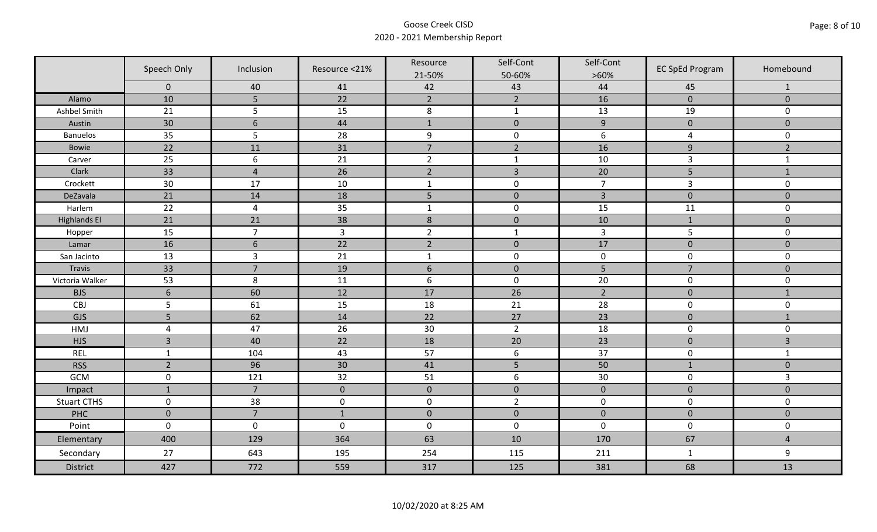|                     | Speech Only         | Inclusion       | Resource <21%  | Resource<br>21-50% | Self-Cont<br>50-60% | Self-Cont<br>$>60\%$ | <b>EC SpEd Program</b> | Homebound      |
|---------------------|---------------------|-----------------|----------------|--------------------|---------------------|----------------------|------------------------|----------------|
|                     | $\mathbf 0$         | 40              | 41             | 42                 | 43                  | 44                   | 45                     | $\mathbf{1}$   |
| Alamo               | 10                  | 5               | 22             | $\overline{2}$     | $\overline{2}$      | 16                   | $\pmb{0}$              | $\mathbf 0$    |
| Ashbel Smith        | 21                  | 5               | 15             | $\,8\,$            | $\mathbf{1}$        | 13                   | 19                     | 0              |
| Austin              | 30                  | $6\phantom{1}6$ | 44             | $\mathbf{1}$       | $\pmb{0}$           | $\overline{9}$       | $\pmb{0}$              | $\overline{0}$ |
| <b>Banuelos</b>     | 35                  | 5               | 28             | $\boldsymbol{9}$   | $\pmb{0}$           | 6                    | $\overline{a}$         | 0              |
| <b>Bowie</b>        | 22                  | 11              | 31             | $\overline{7}$     | $\overline{2}$      | 16                   | $\boldsymbol{9}$       | $\overline{2}$ |
| Carver              | 25                  | 6               | 21             | $\overline{2}$     | $\mathbf{1}$        | 10                   | 3                      | $\mathbf{1}$   |
| Clark               | 33                  | $\overline{4}$  | 26             | $\overline{2}$     | $\overline{3}$      | 20                   | 5                      | $1\,$          |
| Crockett            | 30                  | 17              | 10             | $\mathbf{1}$       | $\pmb{0}$           | $\overline{7}$       | 3                      | 0              |
| DeZavala            | 21                  | 14              | 18             | 5                  | $\pmb{0}$           | $\overline{3}$       | $\pmb{0}$              | $\overline{0}$ |
| Harlem              | 22                  | $\overline{4}$  | 35             | $\mathbf 1$        | $\pmb{0}$           | 15                   | 11                     | 0              |
| <b>Highlands El</b> | 21                  | 21              | 38             | $\,$ 8 $\,$        | $\pmb{0}$           | 10                   | $\mathbf{1}$           | $\overline{0}$ |
| Hopper              | 15                  | $\overline{7}$  | $\overline{3}$ | $\overline{2}$     | $\mathbf{1}$        | $\mathbf{3}$         | 5                      | 0              |
| Lamar               | 16                  | $6\phantom{1}6$ | 22             | $\overline{2}$     | $\pmb{0}$           | 17                   | $\pmb{0}$              | $\mathbf 0$    |
| San Jacinto         | 13                  | $\overline{3}$  | 21             | $\mathbf{1}$       | $\pmb{0}$           | $\pmb{0}$            | $\mathbf 0$            | 0              |
| Travis              | 33                  | $\overline{7}$  | 19             | $6\,$              | $\pmb{0}$           | 5                    | $\overline{7}$         | $\mathbf 0$    |
| Victoria Walker     | 53                  | 8               | 11             | $\boldsymbol{6}$   | $\pmb{0}$           | 20                   | $\pmb{0}$              | 0              |
| <b>BJS</b>          | $6\phantom{1}6$     | 60              | 12             | 17                 | 26                  | $\overline{2}$       | $\pmb{0}$              | $\mathbf{1}$   |
| CBJ                 | 5                   | 61              | 15             | 18                 | 21                  | 28                   | $\pmb{0}$              | 0              |
| GJS                 | 5                   | 62              | 14             | 22                 | 27                  | 23                   | $\mathbf 0$            | $\mathbf{1}$   |
| HMJ                 | $\overline{4}$      | 47              | 26             | 30                 | $\overline{2}$      | 18                   | $\pmb{0}$              | 0              |
| <b>HJS</b>          | $\overline{3}$      | 40              | 22             | 18                 | 20                  | 23                   | $\pmb{0}$              | 3              |
| <b>REL</b>          | $\mathbf{1}$        | 104             | 43             | 57                 | $\boldsymbol{6}$    | 37                   | $\pmb{0}$              | $\mathbf{1}$   |
| <b>RSS</b>          | $\overline{2}$      | 96              | 30             | 41                 | 5                   | 50                   | $\mathbf{1}$           | $\mathbf{0}$   |
| GCM                 | $\mathsf{O}\xspace$ | 121             | 32             | 51                 | $\boldsymbol{6}$    | $30\,$               | $\pmb{0}$              | $\overline{3}$ |
| Impact              | $\mathbf{1}$        | $\overline{7}$  | $\mathbf{0}$   | $\mathbf 0$        | $\mathbf 0$         | $\mathbf 0$          | $\mathbf 0$            | $\overline{0}$ |
| <b>Stuart CTHS</b>  | $\mathsf 0$         | 38              | $\pmb{0}$      | $\pmb{0}$          | $\overline{2}$      | $\pmb{0}$            | $\pmb{0}$              | 0              |
| PHC                 | $\mathbf 0$         | $\overline{7}$  | $1\,$          | $\pmb{0}$          | $\pmb{0}$           | $\pmb{0}$            | $\pmb{0}$              | $\pmb{0}$      |
| Point               | $\mathbf 0$         | $\mathbf 0$     | $\mathbf 0$    | $\boldsymbol{0}$   | $\pmb{0}$           | $\mathbf 0$          | $\pmb{0}$              | 0              |
| Elementary          | 400                 | 129             | 364            | 63                 | 10                  | 170                  | 67                     | $\overline{4}$ |
| Secondary           | 27                  | 643             | 195            | 254                | 115                 | 211                  | $\mathbf{1}$           | 9              |
| <b>District</b>     | 427                 | 772             | 559            | 317                | 125                 | 381                  | 68                     | 13             |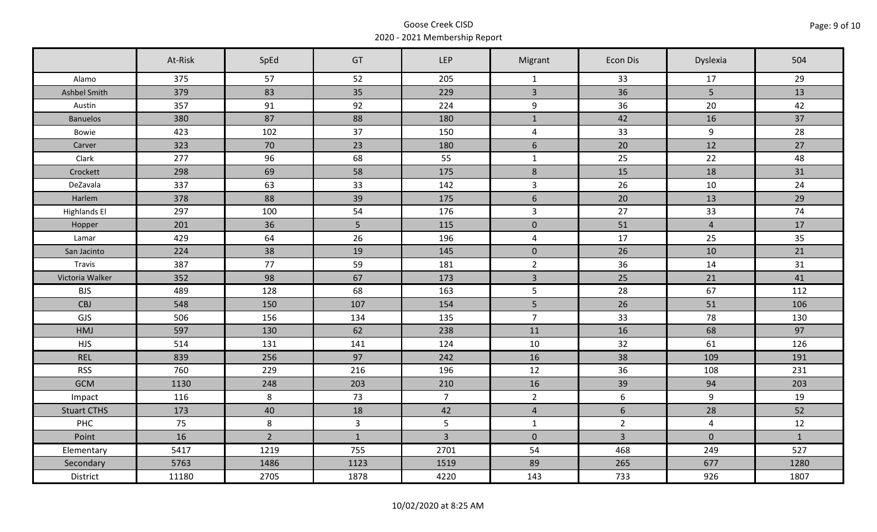|                     | At-Risk | SpEd           | GT             | <b>LEP</b>     | Migrant        | Econ Dis        | Dyslexia       | 504          |
|---------------------|---------|----------------|----------------|----------------|----------------|-----------------|----------------|--------------|
| Alamo               | 375     | 57             | 52             | 205            | $\mathbf{1}$   | 33              | 17             | 29           |
| Ashbel Smith        | 379     | 83             | 35             | 229            | $\overline{3}$ | 36              | 5 <sup>5</sup> | 13           |
| Austin              | 357     | 91             | 92             | 224            | 9              | 36              | 20             | 42           |
| <b>Banuelos</b>     | 380     | 87             | 88             | 180            | $\mathbf{1}$   | 42              | 16             | 37           |
| Bowie               | 423     | 102            | 37             | 150            | $\overline{a}$ | 33              | 9              | 28           |
| Carver              | 323     | 70             | 23             | 180            | 6              | 20              | 12             | 27           |
| Clark               | 277     | 96             | 68             | 55             | $\mathbf{1}$   | 25              | 22             | 48           |
| Crockett            | 298     | 69             | 58             | 175            | $\,8\,$        | 15              | 18             | 31           |
| DeZavala            | 337     | 63             | 33             | 142            | $\overline{3}$ | 26              | 10             | 24           |
| Harlem              | 378     | 88             | 39             | 175            | $6\,$          | 20              | 13             | 29           |
| <b>Highlands El</b> | 297     | 100            | 54             | 176            | $\mathbf{3}$   | 27              | 33             | 74           |
| Hopper              | 201     | 36             | 5              | 115            | $\mathbf 0$    | 51              | $\overline{4}$ | 17           |
| Lamar               | 429     | 64             | 26             | 196            | $\overline{4}$ | 17              | 25             | 35           |
| San Jacinto         | 224     | 38             | 19             | 145            | $\mathbf{0}$   | 26              | 10             | 21           |
| Travis              | 387     | 77             | 59             | 181            | $\overline{2}$ | 36              | 14             | 31           |
| Victoria Walker     | 352     | 98             | 67             | 173            | $\mathbf{3}$   | 25              | 21             | 41           |
| <b>BJS</b>          | 489     | 128            | 68             | 163            | 5              | 28              | 67             | 112          |
| CBJ                 | 548     | 150            | 107            | 154            | 5              | 26              | 51             | 106          |
| GJS                 | 506     | 156            | 134            | 135            | $\overline{7}$ | 33              | 78             | 130          |
| HMJ                 | 597     | 130            | 62             | 238            | 11             | 16              | 68             | 97           |
| <b>HJS</b>          | 514     | 131            | 141            | 124            | 10             | 32              | 61             | 126          |
| <b>REL</b>          | 839     | 256            | 97             | 242            | 16             | 38              | 109            | 191          |
| <b>RSS</b>          | 760     | 229            | 216            | 196            | 12             | 36              | 108            | 231          |
| <b>GCM</b>          | 1130    | 248            | 203            | 210            | 16             | 39              | 94             | 203          |
| Impact              | 116     | 8              | 73             | $\overline{7}$ | $2^{\circ}$    | $6\phantom{.}6$ | $\overline{9}$ | 19           |
| <b>Stuart CTHS</b>  | 173     | 40             | 18             | 42             | $\overline{4}$ | $6\overline{6}$ | 28             | 52           |
| <b>PHC</b>          | 75      | 8              | $\overline{3}$ | $5\phantom{.}$ | $\mathbf{1}$   | $\overline{2}$  | $\overline{4}$ | 12           |
| Point               | 16      | $\overline{2}$ | $\mathbf{1}$   | $\overline{3}$ | $\overline{0}$ | $\overline{3}$  | $\mathbf 0$    | $\mathbf{1}$ |
| Elementary          | 5417    | 1219           | 755            | 2701           | 54             | 468             | 249            | 527          |
| Secondary           | 5763    | 1486           | 1123           | 1519           | 89             | 265             | 677            | 1280         |
| District            | 11180   | 2705           | 1878           | 4220           | 143            | 733             | 926            | 1807         |